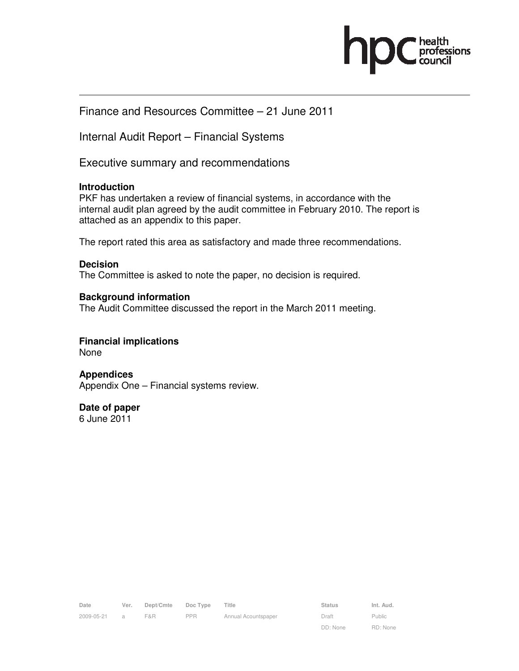

# Finance and Resources Committee – 21 June 2011

Internal Audit Report – Financial Systems

Executive summary and recommendations

### **Introduction**

PKF has undertaken a review of financial systems, in accordance with the internal audit plan agreed by the audit committee in February 2010. The report is attached as an appendix to this paper.

The report rated this area as satisfactory and made three recommendations.

#### **Decision**

The Committee is asked to note the paper, no decision is required.

### **Background information**

The Audit Committee discussed the report in the March 2011 meeting.

#### **Financial implications**  None

**Appendices**  Appendix One – Financial systems review.

**Date of paper**  6 June 2011

| Date       | Ver.           | Dept/Cmte | Doc Type | Title               | <b>Status</b> | Int. Aud. |
|------------|----------------|-----------|----------|---------------------|---------------|-----------|
| 2009-05-21 | $\overline{a}$ | F&R       | PPR      | Annual Acountspaper | Draft         | Public    |

Public RD: None

DD: None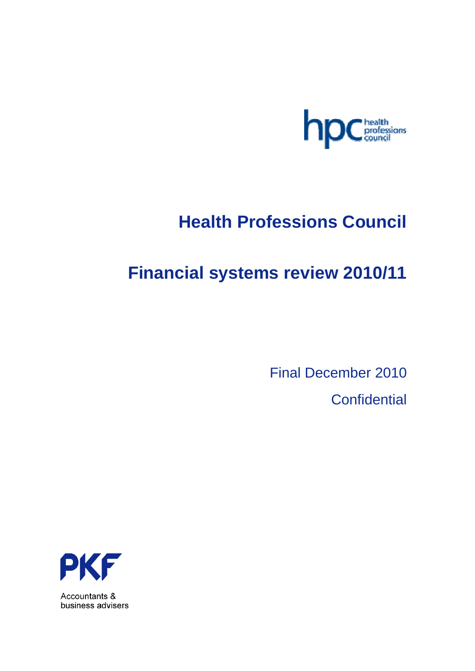

# **Health Professions Council**

# **Financial systems review 2010/11**

Final December 2010

**Confidential** 



Accountants & business advisers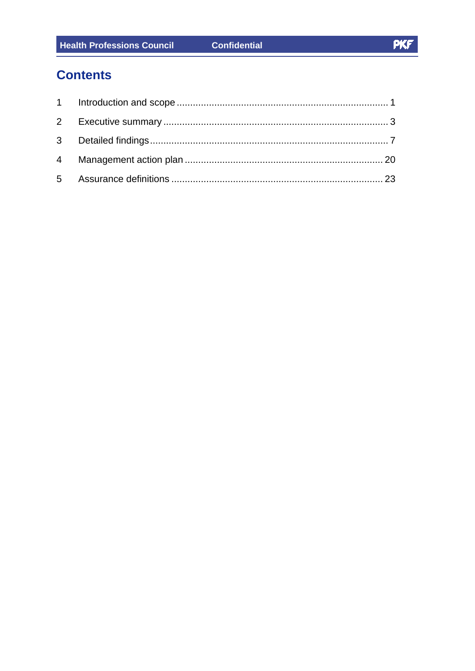# **Contents**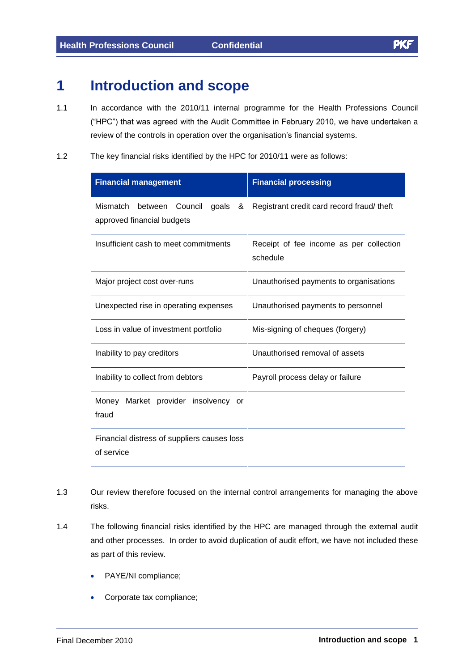# **1 Introduction and scope**

- 1.1 In accordance with the 2010/11 internal programme for the Health Professions Council In accordance with the 2010/11 internal programme for the Health Professions Council<br>("HPC") that was agreed with the Audit Committee in February 2010, we have undertaken a ("HPC") that was agreed with the Audit Committee in February 2010, we have undertaken a review of the controls in operation over the organisation's financial systems.
- 1.2 The key financial risks identified by the HPC for 2010/11 were as follows:

| <b>Financial management</b>                                                | <b>Financial processing</b>                         |  |  |
|----------------------------------------------------------------------------|-----------------------------------------------------|--|--|
| Mismatch<br>Council<br>goals<br>between<br>&<br>approved financial budgets | Registrant credit card record fraud/ theft          |  |  |
| Insufficient cash to meet commitments                                      | Receipt of fee income as per collection<br>schedule |  |  |
| Major project cost over-runs                                               | Unauthorised payments to organisations              |  |  |
| Unexpected rise in operating expenses                                      | Unauthorised payments to personnel                  |  |  |
| Loss in value of investment portfolio                                      | Mis-signing of cheques (forgery)                    |  |  |
| Inability to pay creditors                                                 | Unauthorised removal of assets                      |  |  |
| Inability to collect from debtors                                          | Payroll process delay or failure                    |  |  |
| Money Market provider insolvency<br><b>or</b><br>fraud                     |                                                     |  |  |
| Financial distress of suppliers causes loss<br>of service                  |                                                     |  |  |

- 1.3 Our review therefore focused on the internal control arrangements for managing the above risks.
- 1.4 The following financial risks identified by the HPC are managed through the external audit and other processes. In order to avoid duplication of audit effort, we have not included these as part of this review.
	- PAYE/NI compliance;
	- Corporate tax compliance;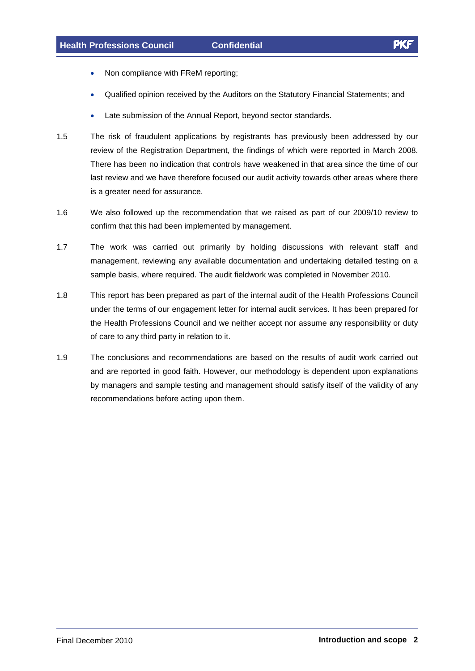- Non compliance with FReM reporting;
- Qualified opinion received by the Auditors on the Statutory Financial Statements; and  $\bullet$
- Late submission of the Annual Report, beyond sector standards.
- 1.5 The risk of fraudulent applications by registrants has previously been addressed by our review of the Registration Department, the findings of which were reported in March 2008. There has been no indication that controls have weakened in that area since the time of our last review and we have therefore focused our audit activity towards other areas where there is a greater need for assurance.
- 1.6 We also followed up the recommendation thatwe raised as part of our 2009/10 review to confirm that this had been implemented by management.
- 1.7 The work was carried out primarily by holding discussions with relevant staff and management, reviewing any available documentation and undertaking detailed testing on a sample basis, where required. The audit fieldwork was completed in November 2010.
- 1.8 This report has been prepared as part of the internal audit of the Health Professions Council under the terms of our engagement letter for internal audit services. It has been prepared for the Health Professions Council and we neither accept nor assume any responsibility or duty of care to any third party in relation to it.
- 1.9 The conclusions and recommendations are based on the results of audit work carried out and are reported in good faith. However, our methodology is dependent upon explanations by managers and sample testing and management should satisfy itself of the validity of any recommendations before acting upon them.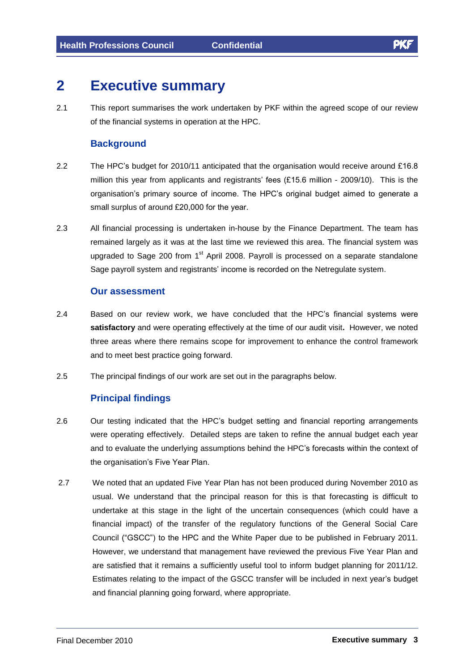# **2 Executive summary**

2.1 This report summarises the work undertaken by PKF within the agreed scope of our review of the financial systems in operation at the HPC.

## **Background**

- 2.2 The HPC's budget for 2010/11 anticipated that the organisation would receive around £16.8 The HPC's budget for 2010/11 anticipated that the organisation would receive around £16.8<br>million this year from applicants and registrants' fees (£15.6 million - 2009/10). This is the organisation's primary source of income. The HPC's original budget aimed to generate a<br>organisation's primary source of income. The HPC's original budget aimed to generate a organisation's primary source of income. The HPC's original budget aimed to generate a small surplus of around £20,000 for the year.
- 2.3 All financial processing is undertaken in-house by the Finance Department. The team has remained largely as it was at the last time we reviewed this area. The financial system was upgraded to Sage 200 from 1<sup>st</sup> April 2008. Payroll is processed on a separate standalone Sage payroll system and registrants' income is recorded on the Netregulate system.

#### **Our assessment**

- 2.4 Based on our review work, we have concluded that the HPC's financial systems were **satisfactory** and were operating effectively at the time of our audit visit**.** However, we noted three areas where there remains scope for improvement to enhance the control framework and to meet best practice going forward.
- 2.5 The principal findings of our work are set out in the paragraphs below.

# **Principal findings**

- 2.6 Our testing indicated that the HPC's budget setting and financial reporting arrangements were operating effectively. Detailed steps are taken to refine the annual budget each year and to evaluate the underlying assumptions behind the HPC's forecasts within the context of<br>and to evaluate the underlying assumptions behind the HPC's forecasts within the context of and to evaluate the underlying assumptions behind the HPC's forecasts within the context of the organisation's Five Year Plan.
- 2.7 We noted that an updated Five Year Plan has notbeen produced during November 2010 as usual. We understand that the principal reason for this is that forecasting is difficult to undertake at this stage in the light of the uncertain consequences (which could have a financial impact) of the transfer of the regulatory functions of the General Social Care Council ("GSCC") to the HPC and the White Paper due to be published in February 2011. However, we understand that management have reviewed the previous Five Year Plan and are satisfied that it remains a sufficiently useful tool to inform budget planning for 2011/12. Estimates relating to the impact of the GSCC transfer will be included in next yearís budget and financial planning going forward, where appropriate.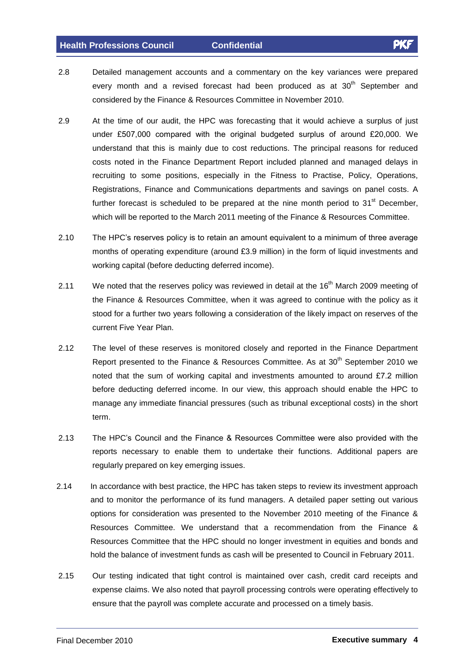- 2.8 Detailed management accounts and a commentary on the key variances were prepared every month and a revised forecast had been produced as at 30<sup>th</sup> September and considered by the Finance & Resources Committee in November 2010.
- 2.9 At the time of our audit, the HPC was forecasting that it would achieve a surplus of just under £507,000 compared with the original budgeted surplus of around £20,000. We understand that this is mainly due to cost reductions. The principal reasons for reduced costs noted in the Finance Department Report included planned and managed delays in recruiting to some positions, especially in the Fitness to Practise, Policy, Operations, Registrations, Finance and Communications departments and savings on panel costs. A further forecast is scheduled to be prepared at the nine month period to 31<sup>st</sup> December, which will be reported to the March 2011 meeting of the Finance & Resources Committee.
- 2.10 The HPCís reserves policy is to retain an amount equivalent to <sup>a</sup> minimum of three average months of operating expenditure (around £3.9 million) in the form of liquid investments and working capital (before deducting deferred income).
- 2.11 We noted that the reserves policy was reviewed in detail at the 16<sup>th</sup> March 2009 meeting of the Finance & Resources Committee, when it was agreed to continue with the policy as it stood for a further two years following a consideration of the likely impact on reserves of the current Five Year Plan.
- 2.12 The level of these reserves is monitored closely and reported in the Finance Department Report presented to the Finance & Resources Committee. As at 30<sup>th</sup> September 2010 we<br>noted that the sum of working capital and investments amounted to around £7.2 million before deducting deferred income. In our view, this approach should enable the HPC to manage any immediate financial pressures (such as tribunal exceptional costs) in the short term.
- 2.13 The HPC's Council and the Finance & Resources Committee were also provided with the reports necessary to enable them to undertake their functions. Additional papers are regularly prepared on key emerging issues.
- 2.14 In accordance with best practice, the HPC has taken steps to review its investment approach and to monitor the performance of its fund managers. A detailed paper setting out various options for consideration was presented to the November 2010 meeting of the Finance & Resources Committee. We understand that a recommendation from the Finance & Resources Committee that the HPC should no longer investment in equities and bonds and hold the balance of investment funds as cash will be presented to Council in February 2011.
- 2.15 Our testing indicated that tight control is maintained over cash, credit card receipts and expense claims. We also noted that payroll processing controls were operating effectively to ensure that the payroll was complete accurate and processed on a timely basis.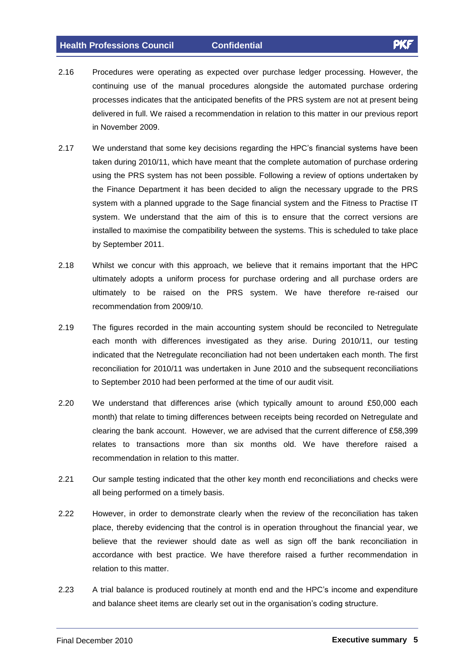- 2.16 Procedures were operating as expected over purchase ledger processing. However, the continuing use of the manual procedures alongside the automated purchase ordering processes indicates that the anticipated benefits of the PRS system are not at present being delivered in full. We raised a recommendation in relation to this matter in our previous report in November 2009.
- 2.17 We understand that some key decisions regarding the HPC's financial systems have been taken during 2010/11, which have meant that the complete automation of purchase ordering using the PRS system has not been possible. Following a review of options undertaken by the Finance Department it has been decided to align the necessary upgrade to the PRS system with a planned upgrade to the Sage financial system and the Fitness to Practise IT system. We understand that the aim of this is to ensure that the correct versions are installed to maximise the compatibility between the systems. This is scheduled to take place by September 2011.
- 2.18 Whilst we concur with this approach, we believe that it remains important that the HPC ultimately adopts a uniform process for purchase ordering and all purchase orders are ultimately to be raised on the PRS system. We have therefore re-raised our recommendation from 2009/10.
- 2.19 The figures recorded in the main accounting system should be reconciled to Netregulate each month with differences investigated as they arise. During 2010/11, our testing indicated that the Netregulate reconciliation had not been undertaken each month. The first reconciliation for 2010/11 was undertaken in June 2010 and the subsequent reconciliations to September 2010 had been performed at the time of our audit visit.
- 2.20 We understand that differences arise (which typically amount to around £50,000 each month) that relate to timing differences between receipts being recorded on Netregulate and counter that the bank account. However, we are advised that the current difference of £58,399<br>clearing the bank account. However, we are advised that the current difference of £58,399 relates to transactions more than six months old. We have therefore raised a recommendation in relation to this matter.
- 2.21 Our sample testing indicated that the other key month end reconciliations and checks were all being performed on a timely basis.
- 2.22 However, in order to demonstrate clearly when the review of the reconciliation has taken place, thereby evidencing that the control is in operation throughout the financial year, we believe that the reviewer should date as well as sign off the bank reconciliation in accordance with best practice. We have therefore raised a further recommendation in relation to this matter. relation to this matter.<br>2.23 A trial balance is produced routinely at month end and the HPC's income and expenditure
- A trial balance is produced routinely at month end and the HPC's income and  $\epsilon$ <br>and balance sheet items are clearly set out in the organisation's coding structure.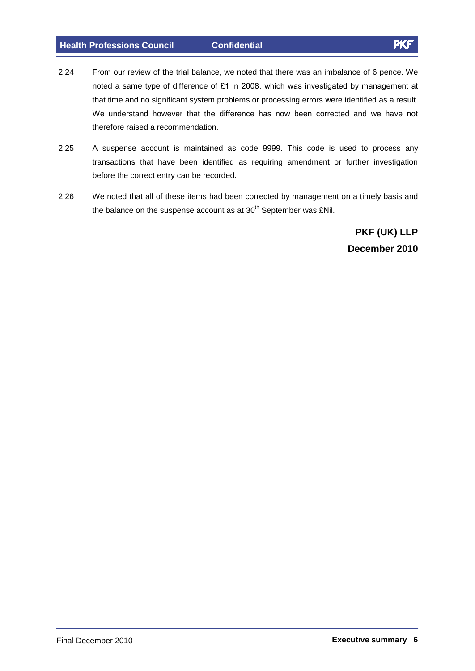- 2.24 From our review of the trial balance, we noted that there was an imbalance of 6 pence. We noted <sup>a</sup> same type of difference of £1 in 2008, which was investigated by management at that time and no significant system problems or processing errors were identified as a result. We understand however that the difference has now been corrected and we have not therefore raised a recommendation.
- 2.25 A suspense account is maintained as code 9999. This code is used to process any transactions that have been identified as requiring amendment or further investigation before the correct entry can be recorded.
- 2.26 We noted that all of these items had been corrected by management on a timely basis and the balance on the suspense account as at  $30<sup>th</sup>$  September was £Nil. rrected by management on<br><sup>th</sup> September was £Nil.

**PKF (UK) LLP December 2010**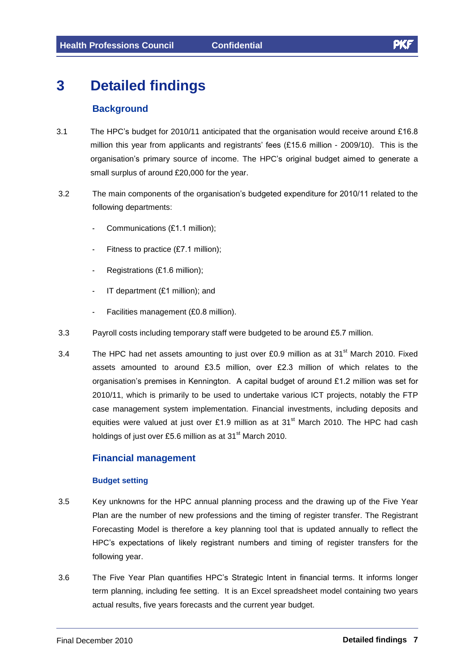# **3 Detailed findings**

# **Background**

- **Background**<br>3.1 The HPC's budget for 2010/11 anticipated that the organisation would receive around £16.8 The HPC's budget for 2010/11 anticipated that the organisation would receive around £16.8<br>million this year from applicants and registrants' fees (£15.6 million - 2009/10). This is the organisation's primary source of income. The HPC's original budget aimed to generate a<br>organisation's primary source of income. The HPC's original budget aimed to generate a small surplus of around E20,000 for the year.<br>Small surplus of around £20,000 for the year. small surplus of around £20,000 for the year.<br>3.2 The main components of the organisation's budgeted expenditure for 2010/11 related to the
- following departments: -
	- Communications (£1.1 million);
	- Fitness to practice (£7.1 million);
	- Registrations (£1.6 million);
	- IT department (£1 million); and
	- Facilities management (£0.8 million).
- 3.3 Payroll costs including temporary staff were budgeted to be around £5.7 million.
- 3.3 Payroll costs including temporary staff were budgeted to be around £5.7 million.<br>3.4 The HPC had net assets amounting to just over £0.9 million as at 31<sup>st</sup> March 2010. Fixed<br>assets amounted to around £3.5 million, ov assets amounted to around £3.5 million, over £2.3 million of which relates to the organisation's premises in Kennington. A capital budget of around £1.2 million was set for 2010/11, which is primarily to be used to undertake various ICT projects, notably the FTP case management system implementation. Financial investments, including deposits and case management system implementation. Financial investments, including deposits and equities were valued at just over £1.9 million as at  $31^{st}$  March 2010. The HPC had cash holdings of just over £5.6 million as at  $31^{st$ holdings of just over £5.6 million as at 31 $^{\rm st}$  March 2010.

# **Financial management**

#### **Budget setting**

- 3.5 Key unknowns for the HPC annual planning process and the drawing up of the Five Year Plan are the number of new professions and the timing of register transfer. The Registrant Forecasting Model is therefore a key planning tool that is updated annually to reflect the Herce in the term is the processive and the lining of register numbers for registion.<br>HPC's expectations of likely registrant numbers and timing of register transfers for the following year.
- 3.6 The Five Year Plan quantifies HPCís Strategic Intent in financial terms. It informs longer term planning, including fee setting. It is an Excel spreadsheet model containing two years actual results, five years forecasts and the current year budget.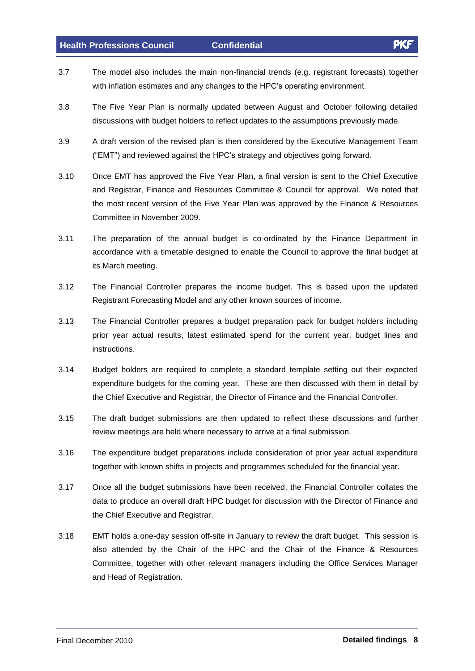- 3.7 The model also includes the main non-financial trends (e.g. registrant forecasts) together The model also includes the main non-financial trends (e.g. registrant forecasts<br>with inflation estimates and any changes to the HPC's operating environment.
- 3.8 The Five Year Plan is normally updated between August and October following detailed discussions with budget holders to reflect updates to the assumptions previously made.
- 3.9 A draft version of the revised plan is then considered by the Executive Management Team A draft version of the revised plan is then considered by the Executive Manageme<br>("EMT") and reviewed against the HPC's strategy and objectives going forward.
- 3.10 Once EMT has approved the Five Year Plan, a final version is sent to the Chief Executive and Registrar, Finance and Resources Committee & Council for approval. We noted that the most recent version of the Five Year Plan was approved by the Finance & Resources Committee in November 2009.
- 3.11 The preparation of the annual budget is co-ordinated by the Finance Department in accordance with a timetable designed to enable the Council to approve the final budget at its March meeting.
- 3.12 The Financial Controller prepares the income budget. This is based upon the updated Registrant Forecasting Model and any other known sources of income.
- 3.13 The Financial Controller prepares a budget preparation pack for budget holders including prior year actual results, latest estimated spend for the current year, budget lines and instructions.
- 3.14 Budget holders are required to complete a standard template setting out their expected expenditure budgets for the coming year. These are then discussed with them in detail by the Chief Executive and Registrar, the Director of Finance and the Financial Controller.
- 3.15 The draft budget submissions are then updated to reflect these discussions and further review meetings are held where necessary to arrive at a final submission.
- 3.16 The expenditure budget preparations include consideration of prior year actual expenditure together with known shifts in projects and programmes scheduled for the financial year.
- 3.17 Once all the budget submissions have been received, the Financial Controller collates the data to produce an overall draft HPC budget for discussion with the Director of Finance and the Chief Executive and Registrar.
- 3.18 EMT holds a one-day session off-site in January to review the draft budget. This session is also attended by the Chair of the HPC and the Chair of the Finance & Resources Committee, together with other relevant managers including the Office Services Manager and Head of Registration.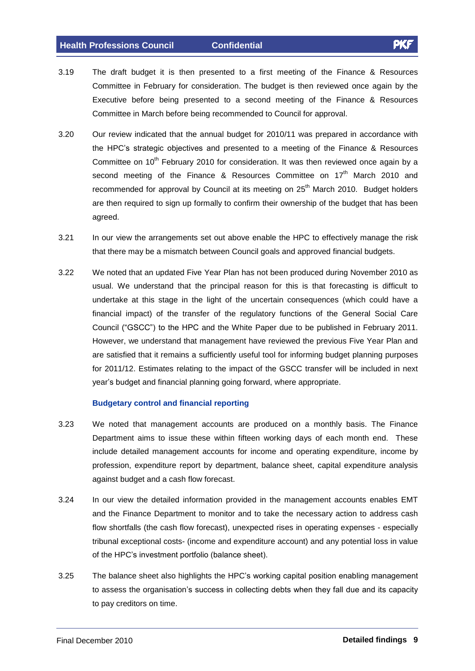- 3.19 The draft budget it is then presented to a first meeting of the Finance & Resources Committee in February for consideration. The budget is then reviewed once again by the Executive before being presented to a second meeting of the Finance & Resources Committee in March before being recommended to Council for approval.
- 3.20 Our review indicated that the annual budget for 2010/11 was prepared in accordance with the HPCís strategic objectives <sup>a</sup>nd presented to <sup>a</sup> meeting of the Finance & Resources Committee on 10<sup>th</sup> February 2010 for consideration. It was then reviewed once again by a second meeting of the Finance & Resources Committee on 17<sup>th</sup> March 2010 and recommended for approval by Council at its meeting on 25<sup>th</sup> March 2010. Budget holders are then required to sign up formally to confirm their ownership of the budget that has been agreed.
- 3.21 In our view the arrangements set out above enable the HPC to effectively manage the risk that there may be a mismatch between Council goals and approved financial budgets.
- 3.22 We noted that an updated Five Year Plan has notbeen produced during November 2010 as usual. We understand that the principal reason for this is that forecasting is difficult to undertake at this stage in the light of the uncertain consequences (which could have a financial impact) of the transfer of the regulatory functions of the General Social Care Council (intervalse of the transfer of the regulatory functions of the General Social Care<br>Council ("GSCC") to the HPC and the White Paper due to be published in February 2011. However, we understand that management have reviewed the previous Five Year Plan and are satisfied that it remains a sufficiently useful tool for informing budget planning purposes for 2011/12. Estimates relating to the impact of the GSCC transfer will be included in next year's budget and financial planning going forward, where appropriate.

#### **Budgetary control and financial reporting**

- 3.23 We noted that management accounts are produced on a monthly basis. The Finance Department aims to issue these within fifteen working days of each month end. These include detailed management accounts for income and operating expenditure, income by profession, expenditure report by department, balance sheet, capital expenditure analysis against budget and a cash flow forecast.
- 3.24 In our view the detailed information provided in the management accounts enables EMT and the Finance Department to monitor and to take the necessary action to address cash flow shortfalls (the cash flow forecast), unexpected rises in operating expenses - especially tribunal exceptional costs- (income and expenditure account) and any potential loss in value of the HPC's investment portfolio (balance sheet). of the HPC's investment portfolio (balance sheet).<br>3.25 The balance sheet also highlights the HPC's working capital position enabling management
- The balance sheet also highlights the HPC's working capital position enabling management<br>to assess the organisation's success in collecting debts when they fall due and its capacity to pay creditors on time.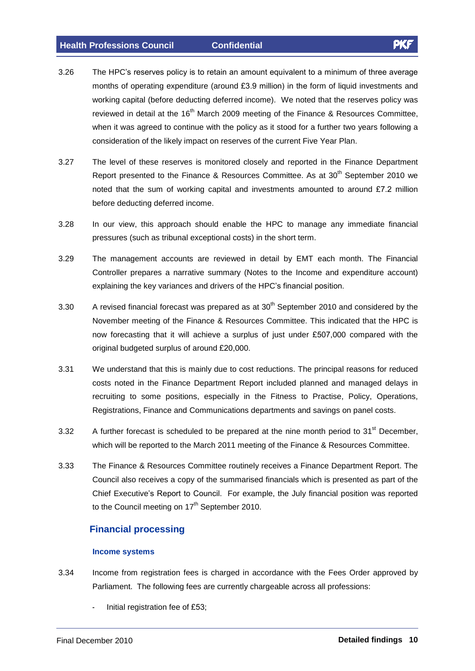- 3.26 The HPCís reserves policy is to retain an amount equivalent to <sup>a</sup> minimum of three average The HPC's reserves policy is to retain an amount equivalent to a minimum of three average<br>months of operating expenditure (around £3.9 million) in the form of liquid investments and working capital (before deducting deferred income). We noted that the reserves policy was reviewed in detail at the 16<sup>th</sup> March 2009 meeting of the Finance & Resources Committee, when it was agreed to continue with the policy as it stood for a further two years following a consideration of the likely impact on reserves of the current Five Year Plan.
- 3.27 The level of these reserves is monitored closely and reported in the Finance Department Report presented to the Finance & Resources Committee. As at 30<sup>th</sup> September 2010 we<br>noted that the sum of working capital and investments amounted to around £7.2 million before deducting deferred income.
- 3.28 In our view, this approach should enable the HPC to manage any immediate financial pressures (such as tribunal exceptional costs) in the short term.
- 3.29 The management accounts are reviewed in detail by EMT each month. The Financial Controller prepares a narrative summary (Notes to the Income and expenditure account) explaining the key variances and drivers of the HPC's financial position.<br>explaining the key variances and drivers of the HPC's financial position.
- 3.30  $\phantom{1}$  A revised financial forecast was prepared as at 30<sup>th</sup> September 2010 and considered by the November meeting of the Finance & Resources Committee. This indicated that the HPC is now forecasting of the Finance & Resources Committee. This indicated that the HPC is<br>now forecasting that it will achieve a surplus of just under £507,000 compared with the now forecasting that it will achieve a surplus of just under £507,000 compared with the original budgeted surplus of around £20,000.
- 3.31 We understand that this is mainly due to cost reductions. The principal reasons for reduced costs noted in the Finance Department Report included planned and managed delays in recruiting to some positions, especially in the Fitness to Practise, Policy, Operations, Registrations, Finance and Communications departments and savings on panel costs.
- 3.32 A further forecast is scheduled to be prepared at the nine month period to 31<sup>st</sup> December, which will be reported to the March 2011 meeting of the Finance & Resources Committee.
- 3.33 The Finance & Resources Committee routinely receives a Finance Department Report. The Council also receives a copy of the summarised financials which is presented as part of the Council also receives a copy of the summarised financials which is presented as part of the<br>Chief Executive's Report to Council. For example, the July financial position was reported to the Council meeting on 17<sup>th</sup> September 2010.

# **Financial processing**

#### **Income systems**

- 3.34 Income from registration fees is charged in accordance with the Fees Order approved by Parliament. The following fees are currently chargeable across all professions:
	- Initial registration fee of £53;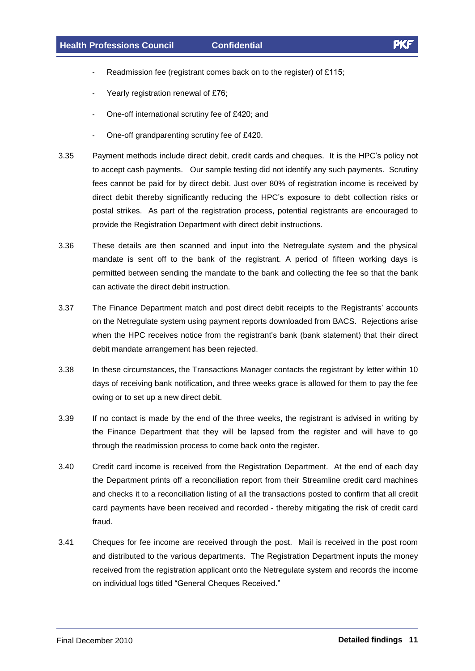-

- Readmission fee (registrant comes back on to the register) of £115; Readmission fee (registrant comes bac<br>Yearly registration renewal of £76;
- 
- Yearly registration renewal of £76;<br>One-off international scrutiny fee of £420; and
- One-off grandparenting scrutiny fee of £420.
- 3.35 Payment methods include direct debit, credit cards and cheques. It is the HPCís policy not to accept cash payments. Our sample testing did not identify any such payments. Scrutiny fees cannot be paid for by direct debit. Just over 80% of registration income is received by direct debit thereby significantly reducing the HPC's exposure to debt collection risks or<br>direct debit thereby significantly reducing the HPC's exposure to debt collection risks or postal strikes. As part of the registration process, potential registrants are encouraged to provide the Registration Department with direct debit instructions.
- 3.36 These details are then scanned and input into the Netregulate system and the physical mandate is sent off to the bank of the registrant. A period of fifteen working days is permitted between sending the mandate to the bank and collecting the fee so that the bank can activate the direct debit instruction.
- 3.37 The Finance Department match and post direct debit receipts to the Registrants<sup>í</sup> accounts on the Netregulate system using payment reports downloaded from BACS. Rejections arise when the Netregulate system using payment reports downloaded from BACS. Rejections arise<br>when the HPC receives notice from the registrant's bank (bank statement) that their direct debit mandate arrangement has been rejected.
- 3.38 In these circumstances, the Transactions Manager contacts the registrant by letter within 10 days of receiving bank notification, and three weeks grace is allowed for them to pay the fee owing or to set up a new direct debit.
- 3.39 If no contact is made by the end of the three weeks, the registrant is advised in writing by the Finance Department that they will be lapsed from the register and will have to go through the readmission process to come back onto the register.
- 3.40 Credit card income is received from the Registration Department. At the end of each day the Department prints off a reconciliation report from their Streamline credit card machines and checks it to a reconciliation listing of all the transactions posted to confirm that all credit card payments have been received and recorded - thereby mitigating the risk of credit card fraud.
- 3.41 Cheques for fee income are received through the post. Mail is received in the post room and distributed to the various departments. The Registration Department inputs the money received from the registration applicant onto the Netregulate system andrecords the income on individual logs titled "General Cheques Received."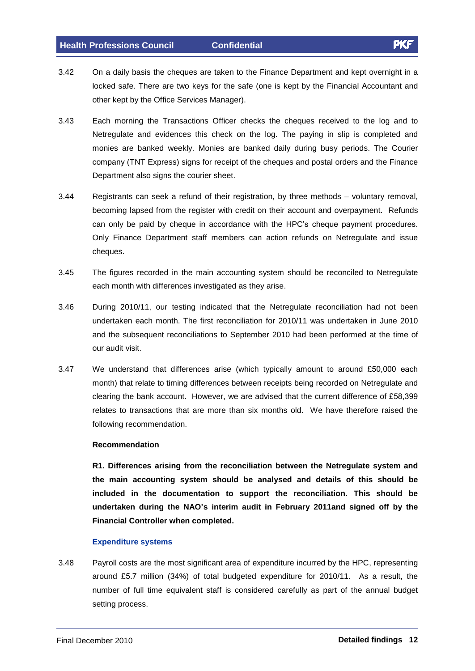- 3.42 On a daily basis the cheques are taken to the Finance Department and kept overnight in a locked safe. There are two keys for the safe (one is kept by the Financial Accountant and other kept by the Office Services Manager).
- 3.43 Each morning the Transactions Officer checks the cheques received to the log and to Netregulate and evidences this check on the log. The paying in slip is completed and monies are banked weekly. Monies are banked daily during busy periods. The Courier company (TNT Express) signs for receipt of the cheques and postal orders and the Finance Department also signs the courier sheet.
- 3.44 Registrants can seek a refund of their registration, by three methods voluntary removal, becoming lapsed from the register with credit on their account and overpayment. Refunds can only be paid by cheque in accordance with the HPC's cheque payment. Refunds<br>can only be paid by cheque in accordance with the HPC's cheque payment procedures. Only Finance Department staff members can action refunds on Netregulate and issue cheques.
- 3.45 The figures recorded in the main accounting system should be reconciled to Netregulate each month with differences investigated as they arise.
- 3.46 During 2010/11, our testing indicated that the Netregulate reconciliation had not been undertaken each month. The first reconciliation for 2010/11 was undertaken in June 2010 and the subsequent reconciliations to September 2010 had been performed at the time of our audit visit.
- 3.47 We understand that differences arise (which typically amount to around £50,000 each month) that relate to timing differences between receipts being recorded on Netregulate and clearing that distribution and the bank account.<br>
month) that relate to timing differences between receipts being recorded on Netregulate and<br>
clearing the bank account. However, we are advised that the current difference relates to transactions that are more than six months old. We have therefore raised the following recommendation.

#### **Recommendation**

**R1. Differences arising from the reconciliation between the Netregulate system and the main accounting system should be analysed and details ofthis should be included in the documentation to support the reconciliation. This should be undertaken during the NAOí<sup>s</sup> interim audit in February 2011and signed off by the Financial Controller when completed.**

#### **Expenditure systems**

3.48 Payroll costs are the most significant area of expenditure incurred by the HPC, representing Payroll costs are the most significant area of expenditure incurred by the HPC, representing<br>around £5.7 million (34%) of total budgeted expenditure for 2010/11. As a result, the number of full time equivalent staff is considered carefully as part of the annual budget setting process.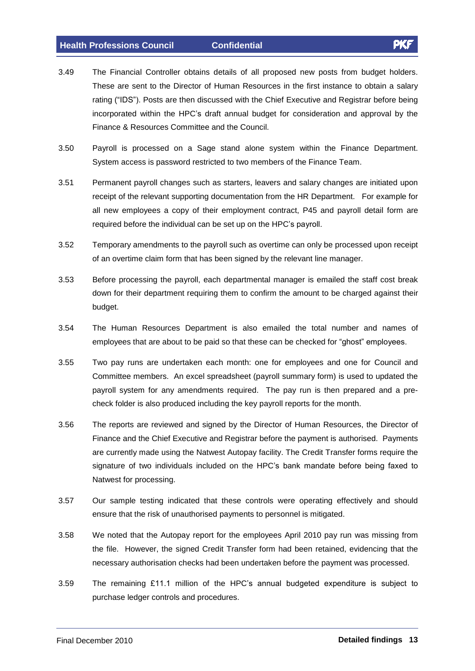- 3.49 The Financial Controller obtains details of all proposed new posts from budget holders. These are sent to the Director of Human Resources in the first instance to obtain a salary These are sent to the Director of Human Resources in the first instance to obtain a salary<br>rating ("IDS"). Posts are then discussed with the Chief Executive and Registrar before being rating ("IDS"). Posts are then discussed with the Chief Executive and Registrar before being<br>incorporated within the HPC's draft annual budget for consideration and approval by the Finance & Resources Committee and the Council.
- 3.50 Payroll is processed on a Sage stand alone system within the Finance Department. System access is password restricted to two members of the Finance Team.
- 3.51 Permanent payroll changes such as starters, leavers and salary changes are initiated upon receipt of the relevant supporting documentation from the HR Department. For example for all new employees a copy of their employment contract, P45 and payroll detail form are recept of the forestand supporting accurrentation from the finite particle.<br>all new employees a copy of their employment contract, P45 and prequired before the individual can be set up on the HPC's payroll.
- 3.52 Temporary amendments to the payroll such as overtime can only be processed upon receipt of an overtime claim form that has been signed by the relevant line manager.
- 3.53 Before processing the payroll, each departmental manager is emailed the staff cost break down for their department requiring them to confirm the amount to be charged against their budget.
- 3.54 The Human Resources Department is also emailed the total number and names of The Human Resources Department is also emailed the total number and names of<br>employees that are about to be paid so that these can be checked for "ghost" employees.
- 3.55 Two pay runs are undertaken each month: one for employees and one for Council and Committee members. An excel spreadsheet (payroll summary form) is used to updated the payroll system for any amendments required. The pay run is then prepared and a pre check folder is also produced including the key payroll reports for the month.
- 3.56 The reports are reviewed and signed by the Director of Human Resources, the Director of Finance and the Chief Executive and Registrar before the payment is authorised. Payments are currently made using the Natwest Autopay facility. The Credit Transfer forms require the signature of two individuals included on the HPC's bank mandate before being faxed to Natwest for processing.
- 3.57 Our sample testing indicated that these controls were operating effectively and should ensure that the risk of unauthorised payments to personnel is mitigated.
- 3.58 We noted that the Autopay report for the employees April 2010 pay run was missing from the file. However, the signed Credit Transfer form hadbeen retained, evidencing that the necessary authorisation checks had been undertaken before the payment was processed.<br>3.59 The remaining £11.1 million of the HPC's annual budgeted expenditure is subject to
- purchase ledger controls and procedures.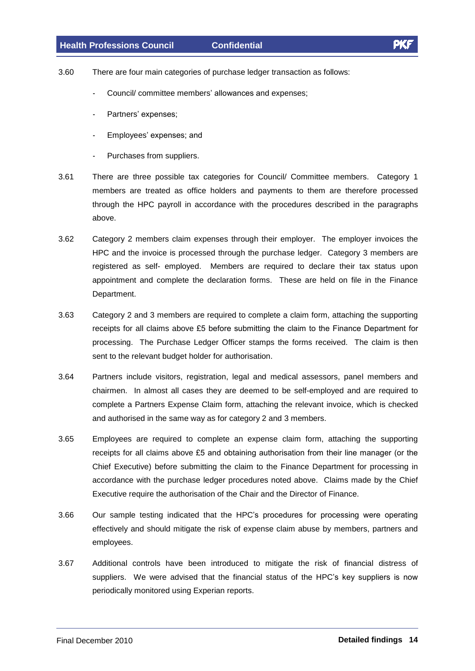- 3.60 There are four main categories of purchase ledger transaction as follows: re are four main categories of purchase ledger transaction as<br>Council/ committee members' allowances and expenses;
	- Council/committee members' allowances and expenses;<br>Partners' expenses:
	-
	- Employees<sup>í</sup> expenses; and
	- Purchases from suppliers.
- 3.61 There are three possible tax categories for Council/ Committee members. Category 1 members are treated as office holders and payments to them are therefore processed through the HPC payroll in accordance with the procedures described in the paragraphs above.
- 3.62 Category 2 members claim expenses through their employer. The employer invoices the HPC and the invoice is processed through the purchase ledger. Category 3 members are registered as self- employed. Members are required to declare their tax status upon appointment and complete the declaration forms. These are held on file in the Finance Department.
- 3.63 Category 2 and 3 members are required to complete a claim form, attaching the supporting Category 2 and 3 members are required to complete a claim form, attaching the supporting<br>receipts for all claims above £5 before submitting the claim to the Finance Department for processing. The Purchase Ledger Officer stamps the forms received. The claim is then sent to the relevant budget holder for authorisation.
- 3.64 Partners include visitors, registration, legal and medical assessors, panel members and chairmen. In almost all cases they are deemed to be self-employed and are required to complete a Partners Expense Claim form, attaching the relevant invoice, which is checked and authorised in the same way as for category 2 and 3 members.
- 3.65 Employees are required to complete an expense claim form, attaching the supporting Employees are required to complete an expense claim form, attaching the supporting<br>receipts for all claims above £5 and obtaining authorisation from their line manager (or the Chief Executive) before submitting the claim to the Finance Department for processing in accordance with the purchase ledger procedures noted above. Claims made by the Chief Executive require the authorisation of the Chair and the Director of Finance.
- 3.66 Our sample testing indicated that the HPCís procedures for processing were operating effectively and should mitigate the risk of expense claim abuse by members, partners and employees.
- 3.67 Additional controls have been introduced to mitigate the risk of financial distress of Additional controls have been introduced to mitigate the risk of financial distress of<br>suppliers. We were advised that the financial status of the HPC's key suppliers is now periodically monitored using Experian reports.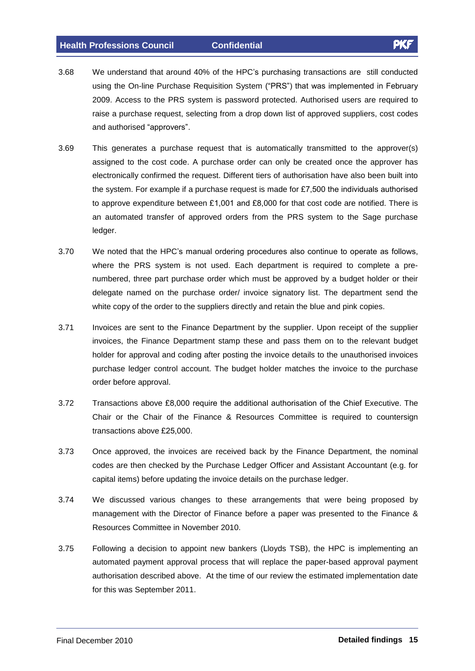- 3.68 We understand thataround 40% of the HPCís purchasing transactions are still conducted We understand that around 40% of the HPC's purchasing transactions are still conducted<br>using the On-line Purchase Requisition System ("PRS") that was implemented in February 2009. Access to the PRS system is password protected. Authorised users are required to raise a purchase request, selecting from a drop down list of approved suppliers, cost codes France is the conservative of the<br>raise a purchase request, select<br>and authorised "approvers".
- 3.69 This generates a purchase request that is automatically transmitted to the approver(s) assigned to the cost code. A purchase order can only be created once the approver has electronically confirmed the request. Different tiers of authorisation have also been built into electronically confirmed the request. Different tiers of authorisation have also been built into<br>the system. For example if a purchase request is made for £7,500 the individuals authorised the system. For example if a purchase request is made for £7,500 the individuals authorised<br>to approve expenditure between £1,001 and £8,000 for that cost code are notified. There is an automated transfer of approved orders from the PRS system to the Sage purchase ledger.
- 3.70 We noted that the HPC's manual ordering procedures also continue to operate as follows, where the PRS system is not used. Each department is required to complete a pre numbered, three part purchase order which must be approved by a budget holder or their delegate named on the purchase order/ invoice signatory list. The department send the white copy of the order to the suppliers directly and retain the blue and pink copies.
- 3.71 Invoices are sent to the Finance Department by the supplier. Upon receipt of the supplier invoices, the Finance Department stamp these and pass them on to the relevant budget holder for approval and coding after posting the invoice details to the unauthorised invoices purchase ledger control account. The budget holder matches the invoice to the purchase order before approval.
- 3.72 Transactions above £8,000 require the additional authorisation of the Chief Executive. The Chair or the Chair of the Finance & Resources Committee is required to countersign Chair or the Chair of the Fina<br>transactions above £25,000.
- 3.73 Once approved, the invoices are received back by the Finance Department, the nominal codes are then checked by the Purchase Ledger Officer and Assistant Accountant (e.g. for capital items) before updating the invoice details on the purchase ledger.
- 3.74 We discussed various changes to these arrangements that were being proposed by management with the Director of Finance before a paper was presented to the Finance & Resources Committee in November 2010.
- 3.75 Following a decision to appoint new bankers (Lloyds TSB), the HPC is implementing an automated payment approval process that will replace the paper-based approval payment authorisation described above. At the time of our review the estimated implementation date for this was September 2011.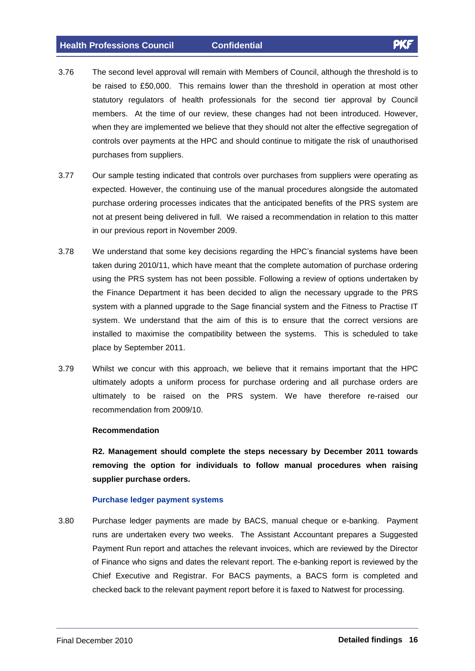- 
- 3.76 The second level approval will remain with Members of Council, although the threshold is to The second level approval will remain with Members of Council, although the threshold is to<br>be raised to £50,000. This remains lower than the threshold in operation at most other statutory regulators of health professionals for the second tier approval by Council members. At the time of our review, these changes had not been introduced. However, when they are implemented we believe that they should not alter the effective segregation of controls over payments at the HPC and should continue to mitigate the risk of unauthorised purchases from suppliers.
- 3.77 Our sample testing indicated that controls over purchases from suppliers were operating as expected. However, the continuing use of the manual procedures alongside the automated purchase ordering processes indicates that the anticipated benefits of the PRS system are not at present being delivered in full. We raised a recommendation in relation to this matter in our previous report in November 2009.
- 3.78 We understand that some key decisions regarding the HPC's financial systems have been taken during 2010/11, which have meant that the complete automation of purchase ordering using the PRS system has not been possible. Following a review of options undertaken by the Finance Department it has been decided to align the necessary upgrade to the PRS system with a planned upgrade to the Sage financial system and the Fitness to Practise IT system. We understand that the aim of this is to ensure that the correct versions are installed to maximise the compatibility between the systems. This is scheduled to take place by September 2011.
- 3.79 Whilst we concur with this approach, we believe that it remains important that the HPC ultimately adopts a uniform process for purchase ordering and all purchase orders are ultimately to be raised on the PRS system. We have therefore re-raised our recommendation from 2009/10.

#### **Recommendation**

**R2. Management should complete the steps necessary by December 2011 towards removing the option for individuals to follow manual procedures when raising supplier purchase orders.**

#### **Purchase ledger payment systems**

3.80 Purchase ledger payments are made by BACS, manual cheque or e-banking. Payment runs are undertaken every two weeks. The Assistant Accountant prepares a Suggested Payment Run report and attaches the relevant invoices, which are reviewed by the Director of Finance who signs and dates the relevant report. The e-banking report is reviewed by the Chief Executive and Registrar. For BACS payments, a BACS form is completed and checked back to the relevant payment report before it is faxed to Natwest for processing.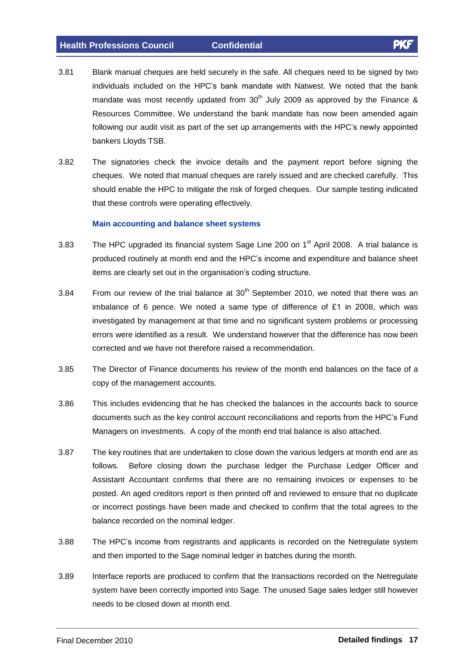- 3.81 Blank manual cheques are held securely in the safe. All cheques need to be signed by two Blank manual cheques are held securely in the safe. All cheques need to be signed by two<br>individuals included on the HPC's bank mandate with Natwest. We noted that the bank mandate was most recently updated from  $30<sup>th</sup>$  July 2009 as approved by the Finance & Resources Committee. We understand the bank mandate has now been amended again Following our audit visit as part of the set up arrangements with the HPC's newly appointed<br>following our audit visit as part of the set up arrangements with the HPC's newly appointed bankers Lloyds TSB.
- 3.82 The signatories check the invoice details and the payment report before signing the cheques. We noted that manual cheques are rarely issued and are checked carefully. This should enable the HPC to mitigate the risk of forged cheques. Our sample testing indicated that these controls were operating effectively.

#### **Main accounting and balance sheet systems**

- 3.83 The HPC upgraded its financial system Sage Line 200 on 1<sup>st</sup> April 2008. A trial balance is<br>produced routinely at month end and the HPC's income and expenditure and balance sheet produced routinely at month end and the HPC's income and expenditure and balance sheet items are clearly set out in the organisation's coding structure.
- 3.84  $\phantom{1}$  From our review of the trial balance at 30<sup>th</sup> September 2010, we noted that there was an imbalance of <sup>6</sup> pence. We noted <sup>a</sup> same type of difference of £1 in <sup>200</sup>8, which was investigated by management at that time and no significant system problems or processing errors were identified as a result. We understand however that the difference has now been corrected and we have not therefore raised a recommendation.
- 3.85 The Director of Finance documents his review of the month end balances on the face of a copy of the management accounts.
- 3.86 This includes evidencing that he has checked the balances in the accounts back to source This includes evidencing that he has checked the balances in the accounts back to source<br>documents such as the key control account reconciliations and reports from the HPC's Fund Managers on investments. A copy of the month end trial balance is also attached.
- 3.87 The key routines that are undertaken to close down the various ledgers at month end are as follows. Before closing down the purchase ledger the Purchase Ledger Officer and Assistant Accountant confirms that there are no remaining invoices or expenses to be posted. An aged creditors report is then printed off and reviewed to ensure that no duplicate or incorrect postings have been made and checked to confirm that the total agrees to the balance recorded on the nominal ledger.
- 3.88 The HPCís income from registrants and applicants is recorded on the Netregulate system and then imported to the Sage nominal ledger in batches during the month.
- 3.89 Interface reports are produced to confirm that the transactions recorded on the Netregulate system have been correctly imported into Sage. The unused Sage sales ledger still however needs to be closed down at month end.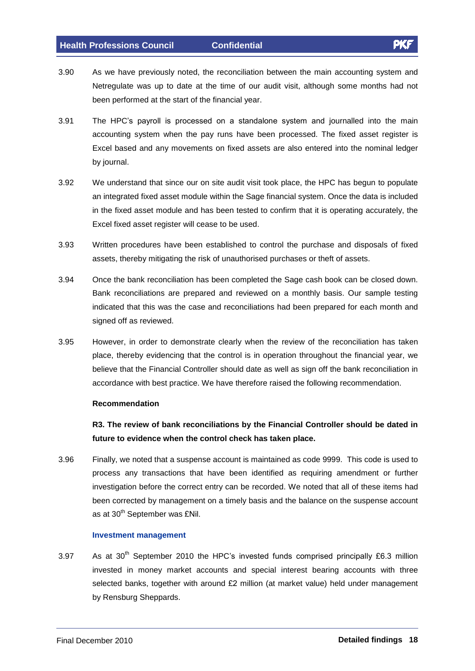- 
- 3.90 As we have previously noted, the reconciliation between the main accounting system and Netregulate was up to date at the time of our audit visit, although some months had not been performed at the start of the financial year.
- 3.91 The HPCís payroll is processed on <sup>a</sup> standalone system and <sup>j</sup>ournalled into the main accounting system when the pay runs have been processed. The fixed asset register is Excel based and any movements on fixed assets are also entered into the nominal ledger by journal.
- 3.92 We understand that since our on site audit visit took place, the HPC has begun to populate an integrated fixed asset module within the Sage financial system. Once the data is included in the fixed asset module and has been tested to confirm that it is operating accurately, the Excel fixed asset register will cease to be used.
- 3.93 Written procedures have been established to control the purchase and disposals of fixed assets, thereby mitigating the risk of unauthorised purchases or theft of assets.
- 3.94 Once the bank reconciliation has been completed the Sage cash book can be closed down. Bank reconciliations are prepared and reviewed on a monthly basis. Our sample testing indicated that this was the case and reconciliations had been prepared for each month and signed off as reviewed.
- 3.95 However, in order to demonstrate clearly when the review of the reconciliation has taken place, thereby evidencing that the control is in operation throughout the financial year, we believe that the Financial Controller should date as wellas sign off the bank reconciliation in accordance with best practice. We have therefore raised the following recommendation.

#### **Recommendation**

**R3. The review of bank reconciliations by the Financial Controller should be dated in future to evidence when the control check has taken place.**

3.96 Finally, we noted that a suspense account is maintained as code 9999. This code is used to process any transactions that have been identified as requiring amendment or further investigation before the correct entry can be recorded. We noted that all of these items had been corrected by management on a timely basis and the balance on the suspense account as at 30<sup>th</sup> September was £Nil. ments for the sensor one<br>rrected by management on<br><sup>th</sup> September was £Nil.

#### **Investment management**

**Investment management**<br>3.97 As at 30<sup>th</sup> September 2010 the HPC's invested funds comprised principally £6.3 million invested in money market accounts and special interest bearing accounts with three selected in money market accounts and special interest bearing accounts with three<br>selected banks, together with around £2 million (at market value) held under management by Rensburg Sheppards.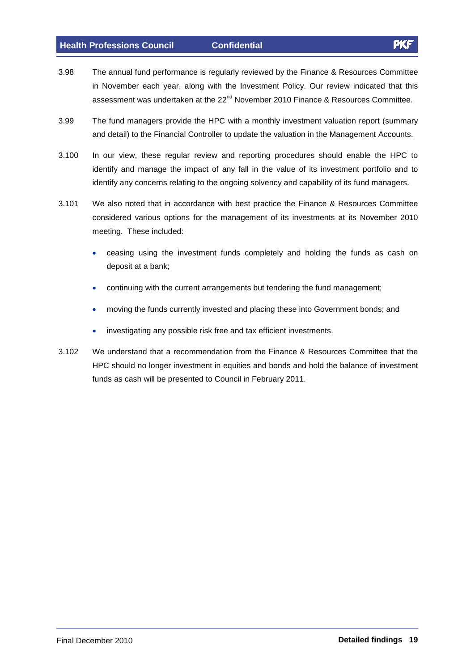- 3.98 The annual fund performance is regularly reviewed by the Finance & Resources Committee in November each year, along with the Investment Policy. Our review indicated that this assessment was undertaken at the 22<sup>nd</sup> November 2010 Finance & Resources Committee.
- 3.99 The fund managers provide the HPC with a monthly investment valuation report (summary and detail) to the Financial Controller to update the valuation in the Management Accounts.
- 3.100 In our view, these regular review and reporting procedures should enable the HPC to identify and manage the impact of any fall in the value of its investment portfolio and to identify any concerns relating to the ongoing solvency and capability of its fund managers.
- 3.101 We also noted that in accordance with best practice the Finance & Resources Committee considered various options for the management of its investments at its November 2010 meeting. These included:
	- ceasing using the investment funds completely and holding the funds as cash on deposit at a bank;
	- continuing with the current arrangements but tendering the fund management;
	- moving the funds currently invested and placing these into Government bonds; and  $\bullet$
	- investigating any possible risk free and tax efficient investments.
- 3.102 We understand that a recommendation from the Finance & Resources Committee that the HPC should no longer investment in equities and bonds and hold the balance of investment funds as cash will be presented to Council in February 2011.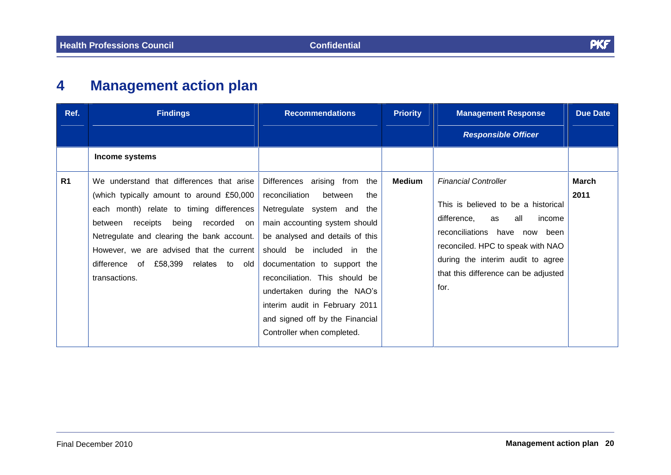# **4 Management action plan**

| Ref. | <b>Findings</b>                                                                                                                                                                                                                                                                                                                        | <b>Recommendations</b>                                                                                                                                                                                                                                                                                                                                                                                 | <b>Priority</b> | <b>Management Response</b>                                                                                                                                                                                                                                          | <b>Due Date</b>      |
|------|----------------------------------------------------------------------------------------------------------------------------------------------------------------------------------------------------------------------------------------------------------------------------------------------------------------------------------------|--------------------------------------------------------------------------------------------------------------------------------------------------------------------------------------------------------------------------------------------------------------------------------------------------------------------------------------------------------------------------------------------------------|-----------------|---------------------------------------------------------------------------------------------------------------------------------------------------------------------------------------------------------------------------------------------------------------------|----------------------|
|      |                                                                                                                                                                                                                                                                                                                                        |                                                                                                                                                                                                                                                                                                                                                                                                        |                 | <b>Responsible Officer</b>                                                                                                                                                                                                                                          |                      |
|      | Income systems                                                                                                                                                                                                                                                                                                                         |                                                                                                                                                                                                                                                                                                                                                                                                        |                 |                                                                                                                                                                                                                                                                     |                      |
| R1   | We understand that differences that arise<br>(which typically amount to around £50,000  <br>each month) relate to timing differences<br>being<br>receipts<br>recorded on<br>between<br>Netregulate and clearing the bank account.<br>However, we are advised that the current<br>difference of £58,399 relates to old<br>transactions. | Differences arising from the<br>reconciliation<br>between<br>the<br>Netregulate system and<br>the<br>main accounting system should<br>be analysed and details of this<br>should be included in the<br>documentation to support the<br>reconciliation. This should be<br>undertaken during the NAO's<br>interim audit in February 2011<br>and signed off by the Financial<br>Controller when completed. | <b>Medium</b>   | <b>Financial Controller</b><br>This is believed to be a historical<br>difference,<br>all<br>income<br>as<br>reconciliations have now been<br>reconciled. HPC to speak with NAO<br>during the interim audit to agree<br>that this difference can be adjusted<br>for. | <b>March</b><br>2011 |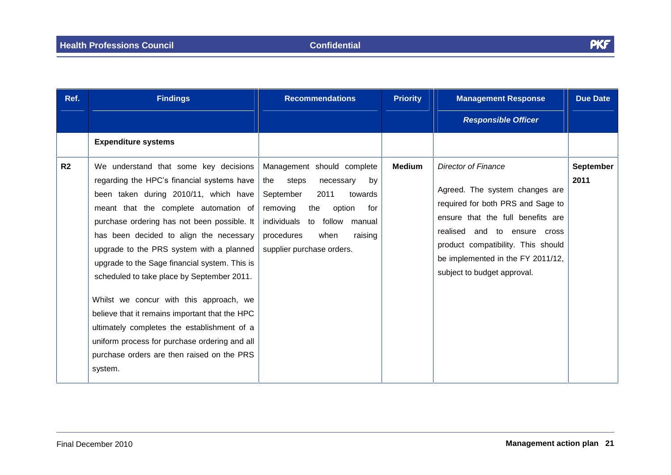| Ref.           | <b>Findings</b>                                                                                                                                                                                                                                                                                                                                                                                                                                                                                                                                                                                                                                                  | <b>Recommendations</b>                                                                                                                                                                                                             | <b>Priority</b> | <b>Management Response</b>                                                                                                                                                                                                                                                       | <b>Due Date</b>          |
|----------------|------------------------------------------------------------------------------------------------------------------------------------------------------------------------------------------------------------------------------------------------------------------------------------------------------------------------------------------------------------------------------------------------------------------------------------------------------------------------------------------------------------------------------------------------------------------------------------------------------------------------------------------------------------------|------------------------------------------------------------------------------------------------------------------------------------------------------------------------------------------------------------------------------------|-----------------|----------------------------------------------------------------------------------------------------------------------------------------------------------------------------------------------------------------------------------------------------------------------------------|--------------------------|
|                |                                                                                                                                                                                                                                                                                                                                                                                                                                                                                                                                                                                                                                                                  |                                                                                                                                                                                                                                    |                 | <b>Responsible Officer</b>                                                                                                                                                                                                                                                       |                          |
|                | <b>Expenditure systems</b>                                                                                                                                                                                                                                                                                                                                                                                                                                                                                                                                                                                                                                       |                                                                                                                                                                                                                                    |                 |                                                                                                                                                                                                                                                                                  |                          |
| R <sub>2</sub> | We understand that some key decisions<br>regarding the HPC's financial systems have<br>been taken during 2010/11, which have<br>meant that the complete automation of<br>purchase ordering has not been possible. It<br>has been decided to align the necessary<br>upgrade to the PRS system with a planned<br>upgrade to the Sage financial system. This is<br>scheduled to take place by September 2011.<br>Whilst we concur with this approach, we<br>believe that it remains important that the HPC<br>ultimately completes the establishment of a<br>uniform process for purchase ordering and all<br>purchase orders are then raised on the PRS<br>system. | Management should complete<br>steps<br>necessary<br>the<br>by<br>2011<br>September<br>towards<br>the<br>removing<br>option<br>for<br>individuals to follow<br>manual<br>procedures<br>raising<br>when<br>supplier purchase orders. | <b>Medium</b>   | <b>Director of Finance</b><br>Agreed. The system changes are<br>required for both PRS and Sage to<br>ensure that the full benefits are<br>realised and to ensure cross<br>product compatibility. This should<br>be implemented in the FY 2011/12,<br>subject to budget approval. | <b>September</b><br>2011 |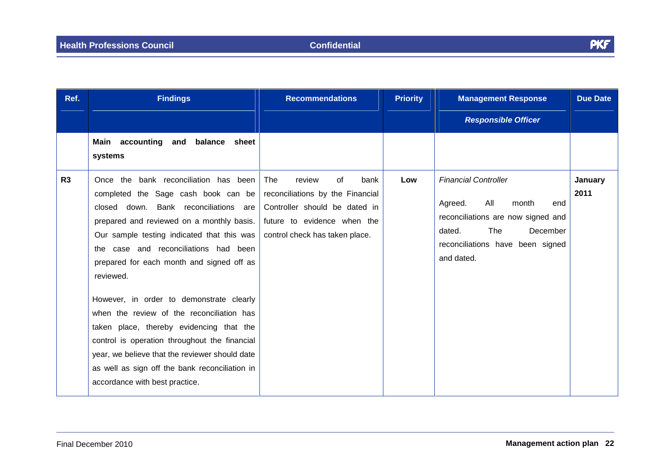| Ref. | <b>Findings</b>                                                                                                                                                                                                                                                                                                                                                                                                                                                                                           | <b>Recommendations</b>                                                                                                                                            | <b>Priority</b> | <b>Management Response</b>                                                                                                                                                         | <b>Due Date</b> |
|------|-----------------------------------------------------------------------------------------------------------------------------------------------------------------------------------------------------------------------------------------------------------------------------------------------------------------------------------------------------------------------------------------------------------------------------------------------------------------------------------------------------------|-------------------------------------------------------------------------------------------------------------------------------------------------------------------|-----------------|------------------------------------------------------------------------------------------------------------------------------------------------------------------------------------|-----------------|
|      |                                                                                                                                                                                                                                                                                                                                                                                                                                                                                                           |                                                                                                                                                                   |                 | <b>Responsible Officer</b>                                                                                                                                                         |                 |
|      | Main accounting<br>balance<br>and<br>sheet<br>systems                                                                                                                                                                                                                                                                                                                                                                                                                                                     |                                                                                                                                                                   |                 |                                                                                                                                                                                    |                 |
| R3   | Once the bank reconciliation has been<br>completed the Sage cash book can be<br>closed down. Bank reconciliations are<br>prepared and reviewed on a monthly basis.<br>Our sample testing indicated that this was<br>the case and reconciliations had been<br>prepared for each month and signed off as<br>reviewed.<br>However, in order to demonstrate clearly<br>when the review of the reconciliation has<br>taken place, thereby evidencing that the<br>control is operation throughout the financial | review<br>The<br>of<br>bank<br>reconciliations by the Financial<br>Controller should be dated in<br>future to evidence when the<br>control check has taken place. | Low             | <b>Financial Controller</b><br>All<br>Agreed.<br>month<br>end<br>reconciliations are now signed and<br>The<br>December<br>dated.<br>reconciliations have been signed<br>and dated. | January<br>2011 |
|      | year, we believe that the reviewer should date<br>as well as sign off the bank reconciliation in<br>accordance with best practice.                                                                                                                                                                                                                                                                                                                                                                        |                                                                                                                                                                   |                 |                                                                                                                                                                                    |                 |